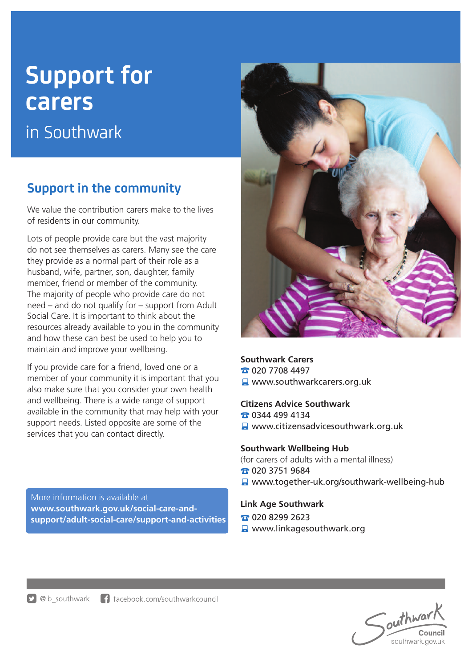# **Support for carers**

in Southwark

## **Support in the community**

We value the contribution carers make to the lives of residents in our community.

Lots of people provide care but the vast majority do not see themselves as carers. Many see the care they provide as a normal part of their role as a husband, wife, partner, son, daughter, family member, friend or member of the community. The majority of people who provide care do not need – and do not qualify for – support from Adult Social Care. It is important to think about the resources already available to you in the community and how these can best be used to help you to maintain and improve your wellbeing.

If you provide care for a friend, loved one or a member of your community it is important that you also make sure that you consider your own health and wellbeing. There is a wide range of support available in the community that may help with your support needs. Listed opposite are some of the services that you can contact directly.

More information is available at **www.southwark.gov.uk/social-care-andsupport/adult-social-care/support-and-activities**



#### **Southwark Carers**

**120 7708 4497** 

### **A** www.southwarkcarers.org.uk

#### **Citizens Advice Southwark**

0344 499 4134

**A** www.citizensadvicesouthwark.org.uk

#### **Southwark Wellbeing Hub**

(for carers of adults with a mental illness)

- 020 3751 9684
- Www.together-uk.org/southwark-wellbeing-hub

#### **Link Age Southwark**

- **T** 020 8299 2623
- **A** www.linkagesouthwark.org

outhwark Council southwark.gov.uk